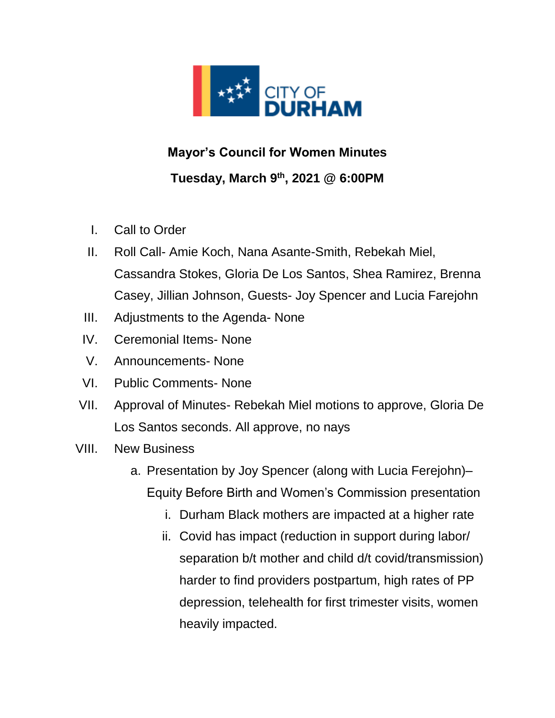

## **Mayor's Council for Women Minutes Tuesday, March 9 th, 2021 @ 6:00PM**

- I. Call to Order
- II. Roll Call- Amie Koch, Nana Asante-Smith, Rebekah Miel, Cassandra Stokes, Gloria De Los Santos, Shea Ramirez, Brenna Casey, Jillian Johnson, Guests- Joy Spencer and Lucia Farejohn
- III. Adjustments to the Agenda- None
- IV. Ceremonial Items- None
- V. Announcements- None
- VI. Public Comments- None
- VII. Approval of Minutes- Rebekah Miel motions to approve, Gloria De Los Santos seconds. All approve, no nays
- VIII. New Business
	- a. Presentation by Joy Spencer (along with Lucia Ferejohn)– Equity Before Birth and Women's Commission presentation
		- i. Durham Black mothers are impacted at a higher rate
		- ii. Covid has impact (reduction in support during labor/ separation b/t mother and child d/t covid/transmission) harder to find providers postpartum, high rates of PP depression, telehealth for first trimester visits, women heavily impacted.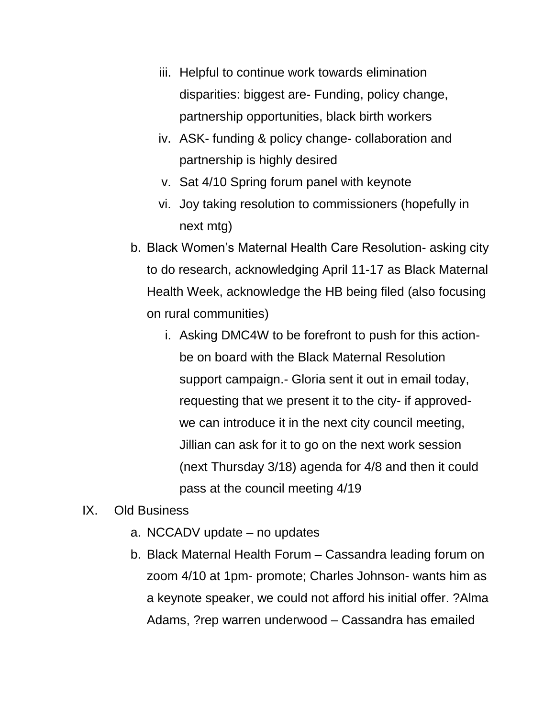- iii. Helpful to continue work towards elimination disparities: biggest are- Funding, policy change, partnership opportunities, black birth workers
- iv. ASK- funding & policy change- collaboration and partnership is highly desired
- v. Sat 4/10 Spring forum panel with keynote
- vi. Joy taking resolution to commissioners (hopefully in next mtg)
- b. Black Women's Maternal Health Care Resolution- asking city to do research, acknowledging April 11-17 as Black Maternal Health Week, acknowledge the HB being filed (also focusing on rural communities)
	- i. Asking DMC4W to be forefront to push for this actionbe on board with the Black Maternal Resolution support campaign.- Gloria sent it out in email today, requesting that we present it to the city- if approvedwe can introduce it in the next city council meeting, Jillian can ask for it to go on the next work session (next Thursday 3/18) agenda for 4/8 and then it could pass at the council meeting 4/19
- IX. Old Business
	- a. NCCADV update no updates
	- b. Black Maternal Health Forum Cassandra leading forum on zoom 4/10 at 1pm- promote; Charles Johnson- wants him as a keynote speaker, we could not afford his initial offer. ?Alma Adams, ?rep warren underwood – Cassandra has emailed